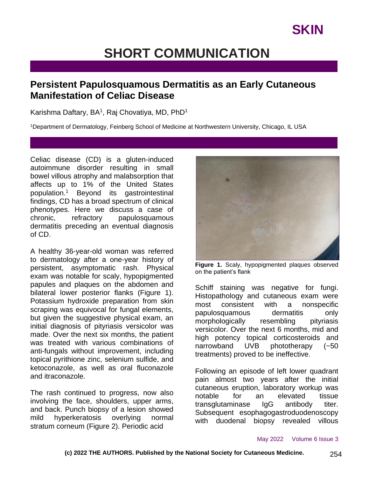# **SHORT COMMUNICATION**

### **Persistent Papulosquamous Dermatitis as an Early Cutaneous Manifestation of Celiac Disease**

Karishma Daftary, BA<sup>1</sup>, Raj Chovatiya, MD, PhD<sup>1</sup>

<sup>1</sup>Department of Dermatology, Feinberg School of Medicine at Northwestern University, Chicago, IL USA

Celiac disease (CD) is a gluten-induced autoimmune disorder resulting in small bowel villous atrophy and malabsorption that affects up to 1% of the United States population.<sup>1</sup> Beyond its gastrointestinal findings, CD has a broad spectrum of clinical phenotypes. Here we discuss a case of chronic, refractory papulosquamous dermatitis preceding an eventual diagnosis of CD.

A healthy 36-year-old woman was referred to dermatology after a one-year history of persistent, asymptomatic rash. Physical exam was notable for scaly, hypopigmented papules and plaques on the abdomen and bilateral lower posterior flanks (Figure 1). Potassium hydroxide preparation from skin scraping was equivocal for fungal elements, but given the suggestive physical exam, an initial diagnosis of pityriasis versicolor was made. Over the next six months, the patient was treated with various combinations of anti-fungals without improvement, including topical pyrithione zinc, selenium sulfide, and ketoconazole, as well as oral fluconazole and itraconazole.

The rash continued to progress, now also involving the face, shoulders, upper arms, and back. Punch biopsy of a lesion showed mild hyperkeratosis overlying normal stratum corneum (Figure 2). Periodic acid



**Figure 1.** Scaly, hypopigmented plaques observed on the patient's flank

Schiff staining was negative for fungi. Histopathology and cutaneous exam were most consistent with a nonspecific papulosquamous dermatitis only morphologically resembling pityriasis versicolor. Over the next 6 months, mid and high potency topical corticosteroids and narrowband UVB phototherapy (~50 treatments) proved to be ineffective.

Following an episode of left lower quadrant pain almost two years after the initial cutaneous eruption, laboratory workup was notable for an elevated tissue transglutaminase IgG antibody titer. Subsequent esophagogastroduodenoscopy with duodenal biopsy revealed villous

#### May 2022 Volume 6 Issue 3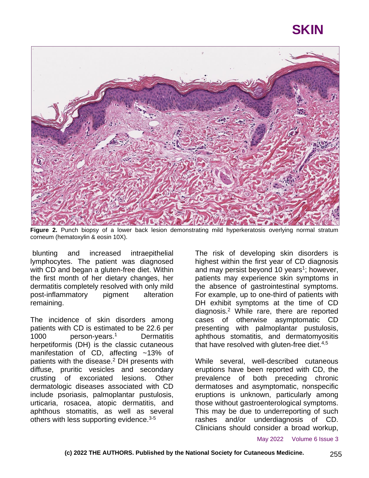## **SKIN**



**Figure 2.** Punch biopsy of a lower back lesion demonstrating mild hyperkeratosis overlying normal stratum corneum (hematoxylin & eosin 10X).

blunting and increased intraepithelial lymphocytes. The patient was diagnosed with CD and began a gluten-free diet. Within the first month of her dietary changes, her dermatitis completely resolved with only mild post-inflammatory pigment alteration remaining.

The incidence of skin disorders among patients with CD is estimated to be 22.6 per 1000 person-years.<sup>1</sup> Dermatitis herpetiformis (DH) is the classic cutaneous manifestation of CD, affecting ~13% of patients with the disease.<sup>2</sup> DH presents with diffuse, pruritic vesicles and secondary crusting of excoriated lesions. Other dermatologic diseases associated with CD include psoriasis, palmoplantar pustulosis, urticaria, rosacea, atopic dermatitis, and aphthous stomatitis, as well as several others with less supporting evidence.<sup>3-5</sup>

The risk of developing skin disorders is highest within the first year of CD diagnosis and may persist beyond 10 years<sup>1</sup>; however, patients may experience skin symptoms in the absence of gastrointestinal symptoms. For example, up to one-third of patients with DH exhibit symptoms at the time of CD diagnosis.<sup>2</sup> While rare, there are reported cases of otherwise asymptomatic CD presenting with palmoplantar pustulosis, aphthous stomatitis, and dermatomyositis that have resolved with gluten-free diet. $4.5$ 

While several, well-described cutaneous eruptions have been reported with CD, the prevalence of both preceding chronic dermatoses and asymptomatic, nonspecific eruptions is unknown, particularly among those without gastroenterological symptoms. This may be due to underreporting of such rashes and/or underdiagnosis of CD. Clinicians should consider a broad workup,

May 2022 Volume 6 Issue 3